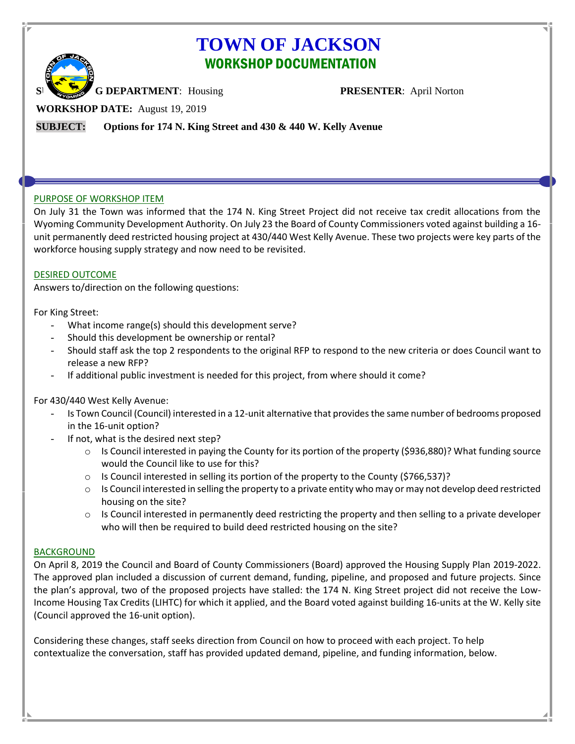# **TOWN OF JACKSON** WORKSHOP DOCUMENTATION



**G DEPARTMENT:** Housing **PRESENTER:** April Norton

**WORKSHOP DATE:** August 19, 2019

**SUBJECT: Options for 174 N. King Street and 430 & 440 W. Kelly Avenue**

# PURPOSE OF WORKSHOP ITEM

On July 31 the Town was informed that the 174 N. King Street Project did not receive tax credit allocations from the Wyoming Community Development Authority. On July 23 the Board of County Commissioners voted against building a 16 unit permanently deed restricted housing project at 430/440 West Kelly Avenue. These two projects were key parts of the workforce housing supply strategy and now need to be revisited.

# DESIRED OUTCOME

Answers to/direction on the following questions:

For King Street:

- What income range(s) should this development serve?
- Should this development be ownership or rental?
- Should staff ask the top 2 respondents to the original RFP to respond to the new criteria or does Council want to release a new RFP?
- If additional public investment is needed for this project, from where should it come?

# For 430/440 West Kelly Avenue:

- Is Town Council (Council) interested in a 12-unit alternative that provides the same number of bedrooms proposed in the 16-unit option?
- If not, what is the desired next step?
	- $\circ$  Is Council interested in paying the County for its portion of the property (\$936,880)? What funding source would the Council like to use for this?
	- $\circ$  Is Council interested in selling its portion of the property to the County (\$766,537)?
	- $\circ$  Is Council interested in selling the property to a private entity who may or may not develop deed restricted housing on the site?
	- $\circ$  Is Council interested in permanently deed restricting the property and then selling to a private developer who will then be required to build deed restricted housing on the site?

# **BACKGROUND**

On April 8, 2019 the Council and Board of County Commissioners (Board) approved the Housing Supply Plan 2019-2022. The approved plan included a discussion of current demand, funding, pipeline, and proposed and future projects. Since the plan's approval, two of the proposed projects have stalled: the 174 N. King Street project did not receive the Low-Income Housing Tax Credits (LIHTC) for which it applied, and the Board voted against building 16-units at the W. Kelly site (Council approved the 16-unit option).

Considering these changes, staff seeks direction from Council on how to proceed with each project. To help contextualize the conversation, staff has provided updated demand, pipeline, and funding information, below.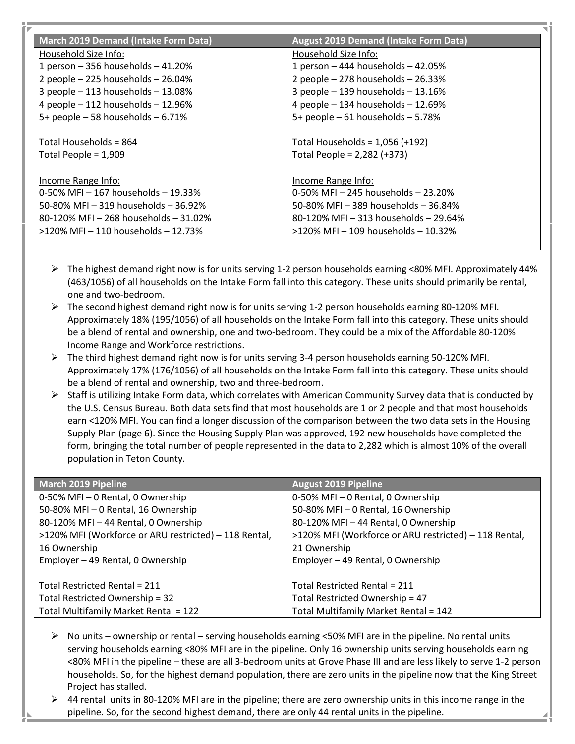| <b>March 2019 Demand (Intake Form Data)</b> | <b>August 2019 Demand (Intake Form Data)</b> |
|---------------------------------------------|----------------------------------------------|
| Household Size Info:                        | Household Size Info:                         |
| 1 person $-356$ households $-41.20%$        | 1 person $-444$ households $-42.05%$         |
| 2 people $-225$ households $-26.04\%$       | 2 people $-278$ households $-26.33%$         |
| 3 people $-113$ households $-13.08\%$       | 3 people $-$ 139 households $-$ 13.16%       |
| 4 people $-112$ households $-12.96%$        | 4 people $-$ 134 households $-$ 12.69%       |
| 5+ people $-58$ households $-6.71%$         | 5+ people $-61$ households $-5.78%$          |
|                                             |                                              |
| Total Households = 864                      | Total Households = $1,056$ (+192)            |
| Total People = 1,909                        | Total People = 2,282 (+373)                  |
|                                             |                                              |
| Income Range Info:                          | Income Range Info:                           |
| 0-50% MFI $-$ 167 households $-$ 19.33%     | 0-50% MFI - 245 households - 23.20%          |
| 50-80% MFI - 319 households - 36.92%        | 50-80% MFI - 389 households - 36.84%         |
| 80-120% MFI - 268 households - 31.02%       | 80-120% MFI - 313 households - 29.64%        |
| $>120\%$ MFI – 110 households – 12.73%      | $>120\%$ MFI – 109 households – 10.32%       |
|                                             |                                              |

- ➢ The highest demand right now is for units serving 1-2 person households earning <80% MFI. Approximately 44% (463/1056) of all households on the Intake Form fall into this category. These units should primarily be rental, one and two-bedroom.
- $\triangleright$  The second highest demand right now is for units serving 1-2 person households earning 80-120% MFI. Approximately 18% (195/1056) of all households on the Intake Form fall into this category. These units should be a blend of rental and ownership, one and two-bedroom. They could be a mix of the Affordable 80-120% Income Range and Workforce restrictions.
- $\triangleright$  The third highest demand right now is for units serving 3-4 person households earning 50-120% MFI. Approximately 17% (176/1056) of all households on the Intake Form fall into this category. These units should be a blend of rental and ownership, two and three-bedroom.
- ➢ Staff is utilizing Intake Form data, which correlates with American Community Survey data that is conducted by the U.S. Census Bureau. Both data sets find that most households are 1 or 2 people and that most households earn <120% MFI. You can find a longer discussion of the comparison between the two data sets in the Housing Supply Plan (page 6). Since the Housing Supply Plan was approved, 192 new households have completed the form, bringing the total number of people represented in the data to 2,282 which is almost 10% of the overall population in Teton County.

| <b>March 2019 Pipeline</b>                            | <b>August 2019 Pipeline</b>                           |
|-------------------------------------------------------|-------------------------------------------------------|
| 0-50% MFI - 0 Rental, 0 Ownership                     | 0-50% MFI - 0 Rental, 0 Ownership                     |
| 50-80% MFI - 0 Rental, 16 Ownership                   | 50-80% MFI - 0 Rental, 16 Ownership                   |
| 80-120% MFI - 44 Rental, 0 Ownership                  | 80-120% MFI - 44 Rental, 0 Ownership                  |
| >120% MFI (Workforce or ARU restricted) - 118 Rental, | >120% MFI (Workforce or ARU restricted) - 118 Rental, |
| 16 Ownership                                          | 21 Ownership                                          |
| Employer - 49 Rental, 0 Ownership                     | Employer - 49 Rental, 0 Ownership                     |
|                                                       |                                                       |
| Total Restricted Rental = 211                         | Total Restricted Rental = 211                         |
| Total Restricted Ownership = 32                       | Total Restricted Ownership = 47                       |
| Total Multifamily Market Rental = 122                 | Total Multifamily Market Rental = 142                 |

- $\triangleright$  No units ownership or rental serving households earning <50% MFI are in the pipeline. No rental units serving households earning <80% MFI are in the pipeline. Only 16 ownership units serving households earning <80% MFI in the pipeline – these are all 3-bedroom units at Grove Phase III and are less likely to serve 1-2 person households. So, for the highest demand population, there are zero units in the pipeline now that the King Street Project has stalled.
- $\geq$  44 rental units in 80-120% MFI are in the pipeline; there are zero ownership units in this income range in the pipeline. So, for the second highest demand, there are only 44 rental units in the pipeline.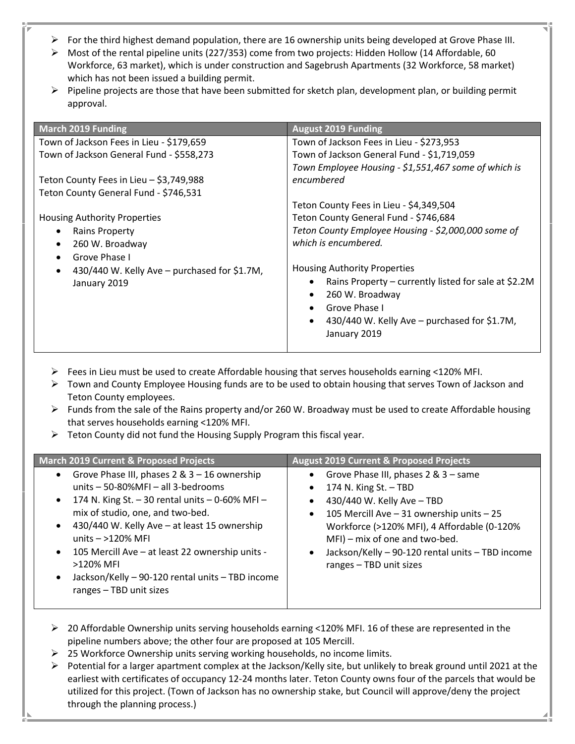- ➢ For the third highest demand population, there are 16 ownership units being developed at Grove Phase III.
- ➢ Most of the rental pipeline units (227/353) come from two projects: Hidden Hollow (14 Affordable, 60 Workforce, 63 market), which is under construction and Sagebrush Apartments (32 Workforce, 58 market) which has not been issued a building permit.
- $\triangleright$  Pipeline projects are those that have been submitted for sketch plan, development plan, or building permit approval.

| <b>March 2019 Funding</b>                                 | <b>August 2019 Funding</b>                           |
|-----------------------------------------------------------|------------------------------------------------------|
| Town of Jackson Fees in Lieu - \$179,659                  | Town of Jackson Fees in Lieu - \$273,953             |
| Town of Jackson General Fund - \$558,273                  | Town of Jackson General Fund - \$1,719,059           |
|                                                           | Town Employee Housing - \$1,551,467 some of which is |
| Teton County Fees in Lieu - \$3,749,988                   | encumbered                                           |
| Teton County General Fund - \$746,531                     |                                                      |
|                                                           | Teton County Fees in Lieu - \$4,349,504              |
| Housing Authority Properties                              | Teton County General Fund - \$746,684                |
| <b>Rains Property</b><br>٠                                | Teton County Employee Housing - \$2,000,000 some of  |
| 260 W. Broadway<br>٠                                      | which is encumbered.                                 |
| Grove Phase I                                             |                                                      |
| 430/440 W. Kelly Ave – purchased for \$1.7M,<br>$\bullet$ | <b>Housing Authority Properties</b>                  |
| January 2019                                              | Rains Property - currently listed for sale at \$2.2M |
|                                                           | 260 W. Broadway                                      |
|                                                           | Grove Phase I                                        |
|                                                           | 430/440 W. Kelly Ave - purchased for \$1.7M,         |
|                                                           | January 2019                                         |
|                                                           |                                                      |

- $\triangleright$  Fees in Lieu must be used to create Affordable housing that serves households earning <120% MFI.
- $\triangleright$  Town and County Employee Housing funds are to be used to obtain housing that serves Town of Jackson and Teton County employees.
- $\triangleright$  Funds from the sale of the Rains property and/or 260 W. Broadway must be used to create Affordable housing that serves households earning <120% MFI.
- ➢ Teton County did not fund the Housing Supply Program this fiscal year.

| <b>March 2019 Current &amp; Proposed Projects</b>            | <b>August 2019 Current &amp; Proposed Projects</b>            |
|--------------------------------------------------------------|---------------------------------------------------------------|
| Grove Phase III, phases 2 & 3 - 16 ownership                 | Grove Phase III, phases 2 & 3 - same<br>$\bullet$             |
| units - 50-80%MFI - all 3-bedrooms                           | 174 N. King St. $-$ TBD<br>$\bullet$                          |
| 174 N. King St. - 30 rental units $-$ 0-60% MFI -            | 430/440 W. Kelly Ave - TBD<br>$\bullet$                       |
| mix of studio, one, and two-bed.                             | 105 Mercill Ave - 31 ownership units - 25<br>$\bullet$        |
| 430/440 W. Kelly Ave - at least 15 ownership                 | Workforce (>120% MFI), 4 Affordable (0-120%                   |
| units $-$ >120% MFI                                          | MFI) – mix of one and two-bed.                                |
| 105 Mercill Ave - at least 22 ownership units -<br>$\bullet$ | Jackson/Kelly - 90-120 rental units - TBD income<br>$\bullet$ |
| >120% MFI                                                    | ranges - TBD unit sizes                                       |
| Jackson/Kelly - 90-120 rental units - TBD income             |                                                               |
| ranges - TBD unit sizes                                      |                                                               |
|                                                              |                                                               |

- ➢ 20 Affordable Ownership units serving households earning <120% MFI. 16 of these are represented in the pipeline numbers above; the other four are proposed at 105 Mercill.
- ➢ 25 Workforce Ownership units serving working households, no income limits.
- $\triangleright$  Potential for a larger apartment complex at the Jackson/Kelly site, but unlikely to break ground until 2021 at the earliest with certificates of occupancy 12-24 months later. Teton County owns four of the parcels that would be utilized for this project. (Town of Jackson has no ownership stake, but Council will approve/deny the project through the planning process.)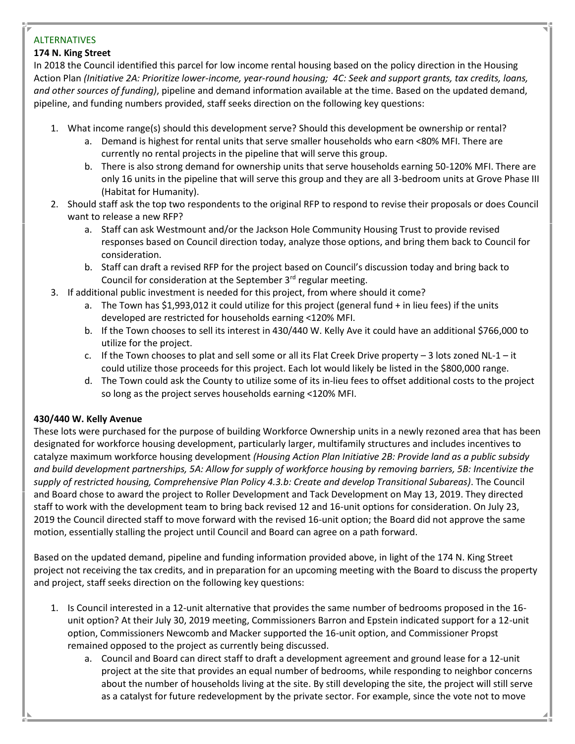## ALTERNATIVES

## **174 N. King Street**

In 2018 the Council identified this parcel for low income rental housing based on the policy direction in the Housing Action Plan *(Initiative 2A: Prioritize lower-income, year-round housing; 4C: Seek and support grants, tax credits, loans, and other sources of funding)*, pipeline and demand information available at the time. Based on the updated demand, pipeline, and funding numbers provided, staff seeks direction on the following key questions:

- 1. What income range(s) should this development serve? Should this development be ownership or rental?
	- a. Demand is highest for rental units that serve smaller households who earn <80% MFI. There are currently no rental projects in the pipeline that will serve this group.
	- b. There is also strong demand for ownership units that serve households earning 50-120% MFI. There are only 16 units in the pipeline that will serve this group and they are all 3-bedroom units at Grove Phase III (Habitat for Humanity).
- 2. Should staff ask the top two respondents to the original RFP to respond to revise their proposals or does Council want to release a new RFP?
	- a. Staff can ask Westmount and/or the Jackson Hole Community Housing Trust to provide revised responses based on Council direction today, analyze those options, and bring them back to Council for consideration.
	- b. Staff can draft a revised RFP for the project based on Council's discussion today and bring back to Council for consideration at the September  $3<sup>rd</sup>$  regular meeting.
- 3. If additional public investment is needed for this project, from where should it come?
	- a. The Town has \$1,993,012 it could utilize for this project (general fund + in lieu fees) if the units developed are restricted for households earning <120% MFI.
	- b. If the Town chooses to sell its interest in 430/440 W. Kelly Ave it could have an additional \$766,000 to utilize for the project.
	- c. If the Town chooses to plat and sell some or all its Flat Creek Drive property  $-3$  lots zoned NL-1 it could utilize those proceeds for this project. Each lot would likely be listed in the \$800,000 range.
	- d. The Town could ask the County to utilize some of its in-lieu fees to offset additional costs to the project so long as the project serves households earning <120% MFI.

# **430/440 W. Kelly Avenue**

These lots were purchased for the purpose of building Workforce Ownership units in a newly rezoned area that has been designated for workforce housing development, particularly larger, multifamily structures and includes incentives to catalyze maximum workforce housing development *(Housing Action Plan Initiative 2B: Provide land as a public subsidy and build development partnerships, 5A: Allow for supply of workforce housing by removing barriers, 5B: Incentivize the supply of restricted housing, Comprehensive Plan Policy 4.3.b: Create and develop Transitional Subareas)*. The Council and Board chose to award the project to Roller Development and Tack Development on May 13, 2019. They directed staff to work with the development team to bring back revised 12 and 16-unit options for consideration. On July 23, 2019 the Council directed staff to move forward with the revised 16-unit option; the Board did not approve the same motion, essentially stalling the project until Council and Board can agree on a path forward.

Based on the updated demand, pipeline and funding information provided above, in light of the 174 N. King Street project not receiving the tax credits, and in preparation for an upcoming meeting with the Board to discuss the property and project, staff seeks direction on the following key questions:

- 1. Is Council interested in a 12-unit alternative that provides the same number of bedrooms proposed in the 16 unit option? At their July 30, 2019 meeting, Commissioners Barron and Epstein indicated support for a 12-unit option, Commissioners Newcomb and Macker supported the 16-unit option, and Commissioner Propst remained opposed to the project as currently being discussed.
	- a. Council and Board can direct staff to draft a development agreement and ground lease for a 12-unit project at the site that provides an equal number of bedrooms, while responding to neighbor concerns about the number of households living at the site. By still developing the site, the project will still serve as a catalyst for future redevelopment by the private sector. For example, since the vote not to move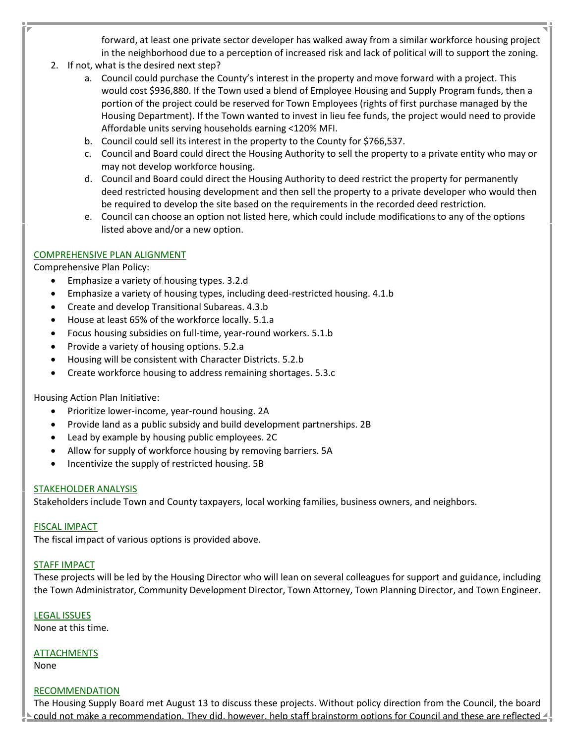forward, at least one private sector developer has walked away from a similar workforce housing project in the neighborhood due to a perception of increased risk and lack of political will to support the zoning.

- 2. If not, what is the desired next step?
	- a. Council could purchase the County's interest in the property and move forward with a project. This would cost \$936,880. If the Town used a blend of Employee Housing and Supply Program funds, then a portion of the project could be reserved for Town Employees (rights of first purchase managed by the Housing Department). If the Town wanted to invest in lieu fee funds, the project would need to provide Affordable units serving households earning <120% MFI.
	- b. Council could sell its interest in the property to the County for \$766,537.
	- c. Council and Board could direct the Housing Authority to sell the property to a private entity who may or may not develop workforce housing.
	- d. Council and Board could direct the Housing Authority to deed restrict the property for permanently deed restricted housing development and then sell the property to a private developer who would then be required to develop the site based on the requirements in the recorded deed restriction.
	- e. Council can choose an option not listed here, which could include modifications to any of the options listed above and/or a new option.

#### COMPREHENSIVE PLAN ALIGNMENT

Comprehensive Plan Policy:

- Emphasize a variety of housing types. 3.2.d
- Emphasize a variety of housing types, including deed-restricted housing. 4.1.b
- Create and develop Transitional Subareas. 4.3.b
- House at least 65% of the workforce locally. 5.1.a
- Focus housing subsidies on full-time, year-round workers. 5.1.b
- Provide a variety of housing options. 5.2.a
- Housing will be consistent with Character Districts. 5.2.b
- Create workforce housing to address remaining shortages. 5.3.c

Housing Action Plan Initiative:

- Prioritize lower-income, year-round housing. 2A
- Provide land as a public subsidy and build development partnerships. 2B
- Lead by example by housing public employees. 2C
- Allow for supply of workforce housing by removing barriers. 5A
- Incentivize the supply of restricted housing. 5B

#### STAKEHOLDER ANALYSIS

Stakeholders include Town and County taxpayers, local working families, business owners, and neighbors.

#### FISCAL IMPACT

The fiscal impact of various options is provided above.

#### STAFF IMPACT

These projects will be led by the Housing Director who will lean on several colleagues for support and guidance, including the Town Administrator, Community Development Director, Town Attorney, Town Planning Director, and Town Engineer.

#### LEGAL ISSUES

None at this time.

#### ATTACHMENTS

None

#### RECOMMENDATION

The Housing Supply Board met August 13 to discuss these projects. Without policy direction from the Council, the board could not make a recommendation. They did, however, help staff brainstorm options for Council and these are reflected